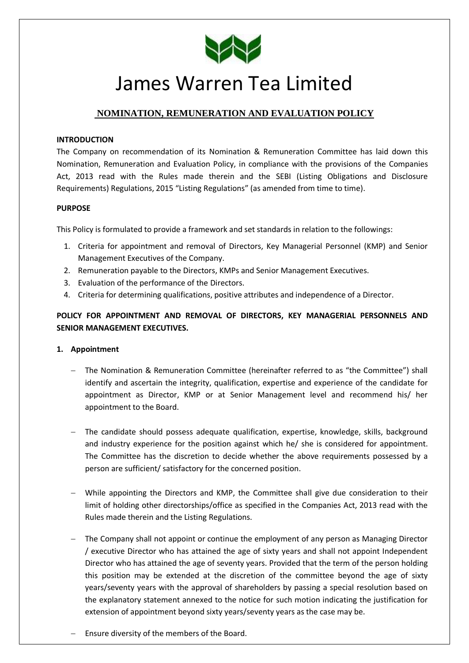

# James Warren Tea Limited

# **NOMINATION, REMUNERATION AND EVALUATION POLICY**

## **INTRODUCTION**

The Company on recommendation of its Nomination & Remuneration Committee has laid down this Nomination, Remuneration and Evaluation Policy, in compliance with the provisions of the Companies Act, 2013 read with the Rules made therein and the SEBI (Listing Obligations and Disclosure Requirements) Regulations, 2015 "Listing Regulations" (as amended from time to time).

# **PURPOSE**

This Policy is formulated to provide a framework and set standards in relation to the followings:

- 1. Criteria for appointment and removal of Directors, Key Managerial Personnel (KMP) and Senior Management Executives of the Company.
- 2. Remuneration payable to the Directors, KMPs and Senior Management Executives.
- 3. Evaluation of the performance of the Directors.
- 4. Criteria for determining qualifications, positive attributes and independence of a Director.

# **POLICY FOR APPOINTMENT AND REMOVAL OF DIRECTORS, KEY MANAGERIAL PERSONNELS AND SENIOR MANAGEMENT EXECUTIVES.**

#### **1. Appointment**

- The Nomination & Remuneration Committee (hereinafter referred to as "the Committee") shall identify and ascertain the integrity, qualification, expertise and experience of the candidate for appointment as Director, KMP or at Senior Management level and recommend his/ her appointment to the Board.
- The candidate should possess adequate qualification, expertise, knowledge, skills, background and industry experience for the position against which he/ she is considered for appointment. The Committee has the discretion to decide whether the above requirements possessed by a person are sufficient/ satisfactory for the concerned position.
- While appointing the Directors and KMP, the Committee shall give due consideration to their limit of holding other directorships/office as specified in the Companies Act, 2013 read with the Rules made therein and the Listing Regulations.
- The Company shall not appoint or continue the employment of any person as Managing Director / executive Director who has attained the age of sixty years and shall not appoint Independent Director who has attained the age of seventy years. Provided that the term of the person holding this position may be extended at the discretion of the committee beyond the age of sixty years/seventy years with the approval of shareholders by passing a special resolution based on the explanatory statement annexed to the notice for such motion indicating the justification for extension of appointment beyond sixty years/seventy years as the case may be.
- Ensure diversity of the members of the Board.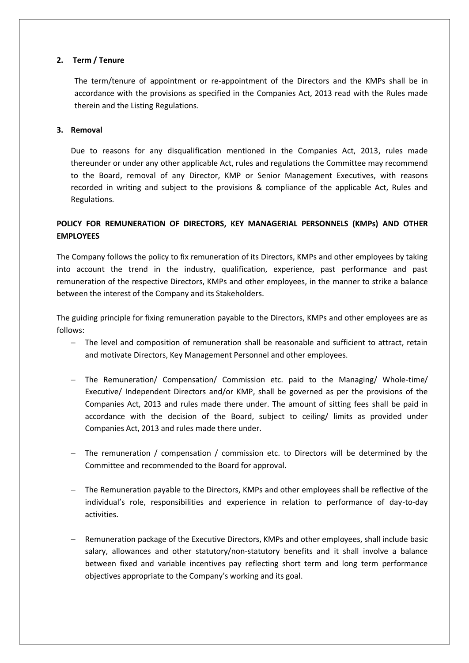# **2. Term / Tenure**

The term/tenure of appointment or re-appointment of the Directors and the KMPs shall be in accordance with the provisions as specified in the Companies Act, 2013 read with the Rules made therein and the Listing Regulations.

## **3. Removal**

Due to reasons for any disqualification mentioned in the Companies Act, 2013, rules made thereunder or under any other applicable Act, rules and regulations the Committee may recommend to the Board, removal of any Director, KMP or Senior Management Executives, with reasons recorded in writing and subject to the provisions & compliance of the applicable Act, Rules and Regulations.

# **POLICY FOR REMUNERATION OF DIRECTORS, KEY MANAGERIAL PERSONNELS (KMPs) AND OTHER EMPLOYEES**

The Company follows the policy to fix remuneration of its Directors, KMPs and other employees by taking into account the trend in the industry, qualification, experience, past performance and past remuneration of the respective Directors, KMPs and other employees, in the manner to strike a balance between the interest of the Company and its Stakeholders.

The guiding principle for fixing remuneration payable to the Directors, KMPs and other employees are as follows:

- The level and composition of remuneration shall be reasonable and sufficient to attract, retain and motivate Directors, Key Management Personnel and other employees.
- The Remuneration/ Compensation/ Commission etc. paid to the Managing/ Whole-time/ Executive/ Independent Directors and/or KMP, shall be governed as per the provisions of the Companies Act, 2013 and rules made there under. The amount of sitting fees shall be paid in accordance with the decision of the Board, subject to ceiling/ limits as provided under Companies Act, 2013 and rules made there under.
- The remuneration / compensation / commission etc. to Directors will be determined by the Committee and recommended to the Board for approval.
- The Remuneration payable to the Directors, KMPs and other employees shall be reflective of the individual's role, responsibilities and experience in relation to performance of day-to-day activities.
- Remuneration package of the Executive Directors, KMPs and other employees, shall include basic salary, allowances and other statutory/non-statutory benefits and it shall involve a balance between fixed and variable incentives pay reflecting short term and long term performance objectives appropriate to the Company's working and its goal.